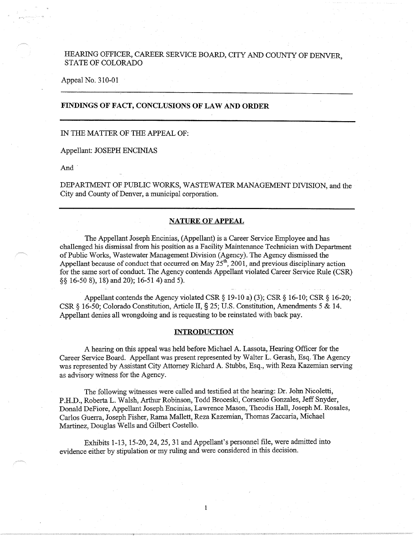# HEARING OFFICER, CAREER SERVICE BOARD, CITY AND COUNTY OF DENVER STATE OF COLORADO

Appeal No. 310-01

## **FINDINGS OF FACT, CONCLUSIONS OF LAW AND ORDER**

#### IN THE MATTER OF THE APPEAL OF:

Appellant: JOSEPH ENCINIAS

And.

DEPARTMENT OF PUBLIC WORKS, WASTEWATER MANAGEMENT DIVISION, and the City and County of Denver, a municipal corporation.

### **NATURE OF APPEAL**

The Appellant Joseph Encinias, (Appellant) is a Career Service Employee and has challenged his dismissal from his position as a Facility Maintenance Technician with Department of Public Works, Wastewater Management Division (Agency). The Agency dismissed the Appellant because of conduct that occurred on May  $25<sup>th</sup>$ , 2001, and previous disciplinary action for the same sort of conduct. The Agency contends Appellant violated Career Service Rule (CSR) §§ 16-50 8), 18) and 20); 16-51 4) and 5).

Appellant contends the Agency violated CSR § 19-10 a) (3); CSR § 16-10; CSR § 16-20; CSR§ 16-50; Colorado Constitution, Article II,§ 25; U.S. Constitution, Amendments 5 & 14. Appellant denies all wrongdoing and is requesting to be reinstated with back pay.

#### **INTRODUCTION**

A hearing on this appeal was held before Michael A. Lassota, Hearing Officer for the Career Service Board. Appellant was present represented by Walter L. Gerash, Esq. The Agency was represented by Assistant City Attorney Richard A. Stubbs, Esq., with Reza Kazemian serving as advisory witness for the Agency.

The following witnesses were called and testified at the hearing: Dr. John Nicoletti, P.H.D., Roberta L. Walsh, Arthur Robinson, Todd Broceski, Corsenio Gonzales, Jeff Snyder, Donald DeFiore, Appellant Joseph Encinias, Lawrence Mason, Theodis Hall, Joseph M. Rosales, Carlos Guerra, Joseph Fisher, Rama Mallett, Reza Kazemian, Thomas Zaccaria, Michael Martinez, Douglas Wells and Gilbert Costello.

 $\mathbf{1}$ 

Exhibits 1-13, 15-20, 24, 25, 31 and Appellant's personnel file, were admitted into evidence either by stipulation or my ruling and were considered in this decision.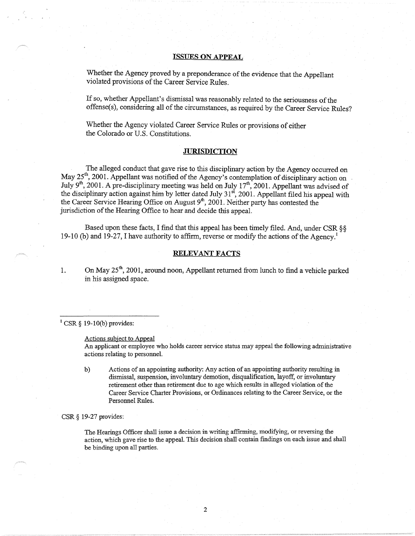## **ISSUES ON APPEAL**

Whether the Agency proved by a preponderance of the evidence that the Appellant violated provisions of the Career Service Rules.

If so, whether Appellant's dismissal was reasonably related to the seriousness of the offense(s), considering all of the circumstances, as required by the Career Service Rules?

Whether the Agency violated Career Service Rules or provisions of either the Colorado or U.S. Constitutions.

#### **JURISDICTION**

The alleged conduct that gave rise to this disciplinary action by the Agency occurred on May  $25<sup>th</sup>$ , 2001. Appellant was notified of the Agency's contemplation of disciplinary action on July 9<sup>th</sup>, 2001. A pre-disciplinary meeting was held on July 17<sup>th</sup>, 2001. Appellant was advised of the disciplinary action against him by letter dated July 31<sup>st</sup>, 2001. Appellant filed his appeal with the Career Service Hearing Office on August 9<sup>th</sup>, 2001. Neither party has contested the jurisdiction of the Hearing Office to hear and decide this appeal.

Based upon these facts, I find that this appeal has been timely filed. And, under CSR§§ 19-10 (b) and 19-27, I have authority to affirm, reverse or modify the actions of the Agency.<sup>1</sup>

## **RELEVANT FACTS**

1. On May  $25<sup>th</sup>$ , 2001, around noon, Appellant returned from lunch to find a vehicle parked in his assigned space.

 $1$  CSR § 19-10(b) provides:

Actions subject to Appeal

An applicant or employee who holds career service status may appeal the following administrative actions relating to personnel.

b) Actions of an appointing authority: Any action of an appointing authority resulting in dismissal, suspension, involuntary demotion, disqualification, layoff, or involuntary retirement other than retirement due to age which results in alleged violation of the Career Service Charter Provisions, or Ordinances relating to the Career Service, or the Personnel Rules.

CSR§ 19-27 provides:

The Hearings Officer shall issue a decision in writing affirming, modifying, or reversing the action, which gave rise to the appeal. This decision shall contain findings on each issue and shall be binding upon all parties.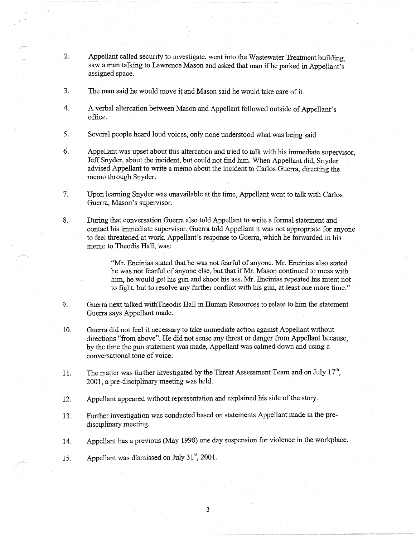- 2. Appellant called security to investigate, went into the Wastewater Treatment building, saw a man talking to Lawrence Mason and asked that man if he parked in Appellant's assigned space.
- 3. The man said he would move it and Mason said he would take care of it.
- 4. A verbal altercation between Mason and Appellant followed outside of Appellant's office.
- 5. Several people heard loud voices, only none understood what was being said
- 6. Appellant was upset about this altercation and tried to talk with his immediate supervisor, Jeff Snyder, about the incident, but could not find him. When Appellant did, Snyder advised Appellant to write a memo about the incident to Carlos Guerra, directing the memo through Snyder.
- 7. Upon learning Snyder was unavailable at the time, Appellant went to talk with Carlos Guerra, Mason's supervisor.
- 8. During that conversation Guerra also told Appellant to write a formal statement and contact his immediate supervisor. Guerra told Appellant it was not appropriate for anyone to feel threatened at work. Appellant's response to Guerra, which he forwarded in his memo to Theodis Hall, was:

"Mr. Encinias stated that he was not fearful of anyone. Mr. Encinias also stated he was not fearful of anyone else, but that if Mr. Mason continued to mess with him, he would get his gun and shoot his ass. Mr. Encinias repeated his intent not to fight, but to resolve any further conflict with his gun, at least one more time."

- 9. Guerra next talked withTheodis Hall in Human Resources to relate to him the statement Guerra says Appellant made.
- 10. Guerra did not feel it necessary to take immediate action against Appellant without directions "from above". He did not sense any threat or danger from Appellant because, by the time the gun statement was made, Appellant was calmed down and using a conversational tone of voice.
- 11. The matter was further investigated by the Threat Assessment Team and on July  $17<sup>th</sup>$ , 2001, a pre-disciplinary meeting was held.
- 12. Appellant appeared without representation and explained his side of the story.
- 13. Further investigation was conducted based on statements Appellant made in the predisciplinary meeting.
- 14. Appellant has a previous (May 1998) one day suspension for violence in the workplace.

3

15. Appellant was dismissed on July  $31<sup>st</sup>$ , 2001.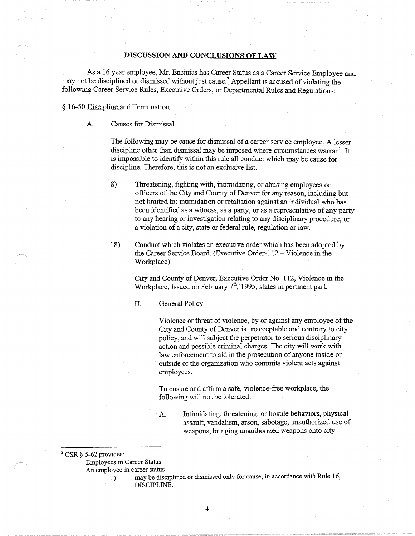## **DISCUSSION AND CONCLUSIONS OF LAW**

As a 16 year employee, Mr. Encinias has Career Status as a Career Service Employee and may not be disciplined or dismissed without just cause.2 Appellant is accused of violating the following Career Service Rules, Executive Orders, or Departmental Rules and Regulations:

### § 16-50 Discipline and Termination

A. Causes for Dismissal.

The following may be cause for dismissal of a career service employee. A lesser discipline other than dismissal may be imposed where circumstances warrant. It is impossible to identify within this rule all conduct which may be cause for discipline. Therefore, this is not an exclusive list.

- 8) Threatening, fighting with, intimidating, or abusing employees or officers of the City and County of Denver for any reason, including but not limited to: intimidation or retaliation against an individual who has been identified as a witness, as a party, or as a representative of any party to any hearing or investigation relating to any disciplinary procedure, or a violation of a city, state or federal rule, regulation or law.
- 18) Conduct which violates an executive order which has been adopted by the Career Service Board. (Executive Order-112- Violence in the Workplace)

City and County of Denver, Executive Order No. 112, Violence in the Workplace, Issued on February  $7<sup>th</sup>$ , 1995, states in pertinent part:

### II. General Policy

Violence or threat of violence, by or against any employee of the City and County of Denver is unacceptable and contrary to city policy, and will subject the perpetrator to serious disciplinary action and possible criminal charges. The city will work with law enforcement to aid in the prosecution of anyone inside or outside of the organization who commits violent acts against employees.

To ensure and affirm a safe, violence-free workplace, the following will not be tolerated.

A. Intimidating, threatening, or hostile behaviors, physical assault, vandalism, arson, sabotage, unauthorized use of weapons, bringing unauthorized weapons onto city

 $2$  CSR § 5-62 provides:

Employees in Career Status

An employee in career status

I) may be disciplined or dismissed only for cause, in accordance with Rule 16, DISCIPLINE.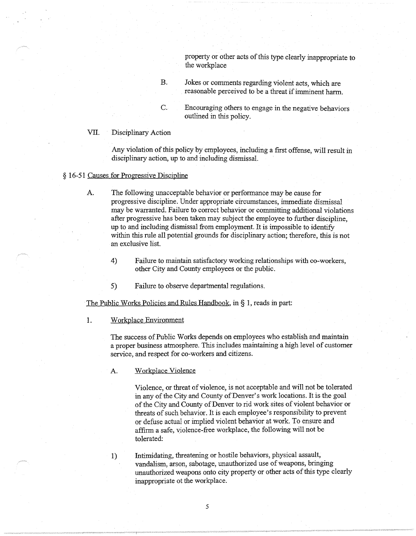property or other acts of this type clearly inappropriate to the workplace

- B. Jokes or comments regarding violent acts, which are reasonable perceived to be a threat if imminent harm.
- C. Encouraging others to engage in the negative behaviors outlined in this policy.

## VII. Disciplinary Action

Any violation of this policy by employees, including a first offense, will result in disciplinary action, up to and including dismissal.

## § 16-51 Causes for Progressive Discipline

- A. The following unacceptable behavior or performance may be cause for progressive discipline. Under appropriate circumstances, immediate dismissal may be warranted. Failure to correct behavior or committing additional violations after progressive has been taken may subject the employee to further discipline, up to and including dismissal from employment. It is impossible to identify within this rule all potential grounds for disciplinary action; therefore, this is not an exclusive list.
	- 4) Failure to maintain satisfactory working relationships with co-workers, other City and County employees or the public.
	- 5) Failure to observe departmental regulations.

The Public Works Policies and Rules Handbook, in § 1, reads in part:

## 1. Workplace Environment

The success of Public Works depends on employees who establish and maintain a proper business atmosphere. This includes maintaining a high level of customer service, and respect for co-workers and citizens.

A. Workplace Violence

Violence, or threat of violence, is not acceptable and will not be tolerated in any of the City and County of Denver's work locations. It is the goal of the City and County of Denver to rid work sites of violent behavior or threats of such behavior. It is each employee's responsibility to prevent or defuse actual or implied violent behavior at work. To ensure and affirm a safe, yiolence-free workplace, the following will not be tolerated:

1) Intimidating, threatening or hostile behaviors, physical assault, vandalism, arson, sabotage, unauthorized use of weapons, bringing unauthorized weapons onto city property or other acts of this type clearly inappropriate ot the workplace.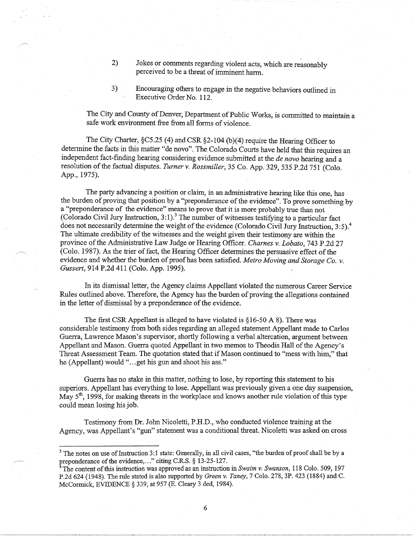- 2) Jokes or comments regarding violent acts, which are reasonably perceived to be a threat of imminent harm.
- 3) Encouraging others to engage in the negative behaviors outlined in Executive Order No. 112.

The City and County of Denver, Department of Public Works, is committed to maintain a safe work environment free from all forms of violence.

The City Charter,  $\S$ C5.25 (4) and CSR  $\S$ 2-104 (b)(4) require the Hearing Officer to determine the facts in this matter "de novo". The Colorado Courts have held that this requires an independent fact-finding hearing considering evidence submitted at the *de nova* hearing and a resolution of the factual disputes. *Turner v. Rossmiller,* 35 Co. App. 329, 535 P.2d 751 (Colo. App., 1975).

The party advancing a position or claim, in an administrative hearing like this one, has the burden of proving that position by a "preponderance of the evidence". To prove something by a "preponderance of the evidence" means to prove that it is more probably true than not (Colorado Civil Jury Instruction, 3:1).<sup>3</sup> The number of witnesses testifying to a particular fact does not necessarily determine the weight of the evidence (Colorado Civil Jury Instruction, 3:5).<sup>4</sup> The ultimate credibility of the witnesses and the weight given their testimony are within the province of the Administrative Law Judge or Hearing Officer. *Charnes v. Lobato,* 743 P.2d 27 (Colo. 1987). As the trier of fact, the Hearing Officer determines the persuasive effect of the evidence and whether the burden of proof has been satisfied. *Metro Moving and Storage Co. v. Gussert,* 914 P.2d 411 (Colo. App. 1995).

In its dismissal letter, the Agency claims Appellant violated the numerous Career Service Rules outlined above. Therefore, the Agency has the burden of proving the allegations contained in the letter of dismissal by a preponderance of the evidence.

The first CSR Appellant is alleged *to* have violated is § 16-50 A 8). There was considerable testimony from both sides regarding an alleged statement Appellant made *to* Carlos Guerra, Lawrence Mason's supervisor, shortly following a verbal altercation, argument between Appellant and Mason. Guerra quoted Appellant in two memos to Theodis Hall of the Agency's Threat Assessment Team. The quotation stated that if Mason continued to "mess with him," that he (Appellant) would "...get his gun and shoot his ass."

Guerra has no stake in this matter, nothing to lose, by reporting this statement to his superiors. Appellant has everything to lose. Appellant was previously given a one day suspension, May  $5<sup>th</sup>$ , 1998, for making threats in the workplace and knows another rule violation of this type could mean losing his job.

Testimony from Dr. John Nicoletti, P.H.D., who conducted violence training at the Agency, was Appellant's "gun" statement was a conditional threat. Nicoletti was asked on cross

6

 $3$  The notes on use of Instruction 3:1 state: Generally, in all civil cases, "the burden of proof shall be by a preponderance of the evidence,..." citing C.R.S. § 13-25-127.

<sup>4</sup>The content of this instruction was approved as an instruction in *Swaim v. Swanson,* 118 Colo. 509, 197 P.2d 624 (1948). The rule stated is also supported by *Green v. Taney,* 7 Colo. 278, 3P. 423 (1884) and C. McCormick, EVIDENCE § 339, at 957 (E. Cleary 3 ded, 1984).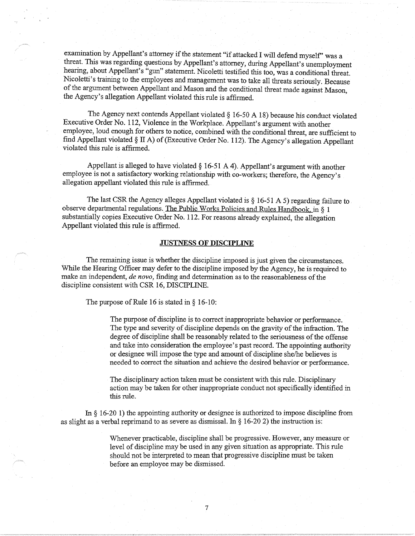examination by Appellant's attorney if the statement "if attacked I will defend myself' was a threat. This was regarding questions by Appellant's attorney, during Appellant's unemployment hearing, about Appellant's "gun" statement. Nicoletti testified this too, was a conditional threat. Nicoletti's training to the employees and management was to take all threats seriously. Because of the argument between Appellant and Mason and the conditional threat made against Mason, the Agency's allegation Appellant violated this rule is affirmed.

The Agency next contends Appellant violated § 16-50 A 18) because his conduct violated Executive Order No. 112, Violence in the Workplace. Appellant's argument with another employee, loud enough for others to notice, combined with the conditional threat, are sufficient to find Appellant violated§ II A) of (Executive Order No. 112). The Agency's allegation Appellant violated this rule is affirmed.

Appellant is alleged to have violated  $\S$  16-51 A 4). Appellant's argument with another employee is not a satisfactory working relationship with co-workers; therefore, the Agency's allegation appellant violated this rule is affirmed.

The last CSR the Agency alleges Appellant violated is § 16-51 A 5) regarding failure to observe departmental regulations. The Public Works Policies and Rules Handbook in § 1 substantially copies Executive Order No. 112. For reasons already explained, the allegation Appellant violated this rule is affirmed.

#### **JUSTNESS OF DISCIPLINE**

The remaining issue is whether the discipline imposed is just given the circumstances. While the Hearing Officer may defer to the discipline imposed by the Agency, he is required to make an independent, *de novo,* finding and determination as to the reasonableness of the discipline consistent with CSR 16, DISCIPLINE.

The purpose of Rule 16 is stated in § 16-10:

The purpose of discipline is to correct inappropriate behavior or performance. The type and severity of discipline depends on the gravity of the infraction. The degree of discipline shall be reasonably related to the seriousness of the offense and take into consideration the employee's past record. The appointing authority or designee will impose the type and amount of discipline she/he believes is needed to correct the situation and achieve the desired behavior or performance.

The disciplinary action taken must be consistent with this rule. Disciplinary action may be taken for other inappropriate conduct not specifically identified in this rule.

In § 16-20 1) the appointing authority or designee is authorized to impose discipline from as slight as a verbal reprimand to as severe as dismissal. In  $\S$  16-20 2) the instruction is:

> Whenever practicable, discipline shall be progressive. However, any measure or level of discipline may be used in any given situation as appropriate. This rule should not be interpreted to mean that progressive discipline must be taken before an employee may be dismissed.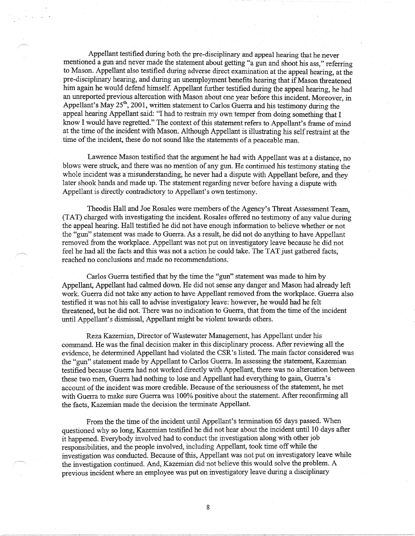Appellant testified during both the pre-disciplinary and appeal hearing that he never mentioned a gun and never made the statement about getting "a gun and shoot his ass," referring to Mason. Appellant also testified during adverse direct examination at the appeal hearing, at the pre-disciplinary hearing, and during an unemployment benefits hearing that if Mason threatened him again he would defend himself. Appellant further testified during the appeal hearing, he had an unreported previous altercation with Mason about one year before this incident. Moreover, in Appellant's May 25<sup>th</sup>, 2001, written statement to Carlos Guerra and his testimony during the appeal hearing Appellant said: "I had to restrain my own temper from doing something that I know I would have regretted." The context of this statement refers to Appellant's frame of mind at the time of the incident with Mason. Although Appellant is illustrating his self restraint at the time of the incident, these do not sound like the statements of a peaceable man.

Lawrence Mason testified that the argument he had with Appellant was at a distance, no blows were struck, and there was no mention of any gun. He continued his testimony stating the whole incident was a misunderstanding, he never had a dispute with Appellant before, and they later shook hands and made up. The statement regarding never before having a dispute with Appellant is directly contradictory to Appellant's own testimony.

Theodis Hall and Joe Rosales were members of the Agency's Threat Assessment Team, (TAT) charged with investigating the incident. Rosales offered no testimony of any value during the appeal hearing. Hall testified he did not have enough information to believe whether or not the "gun" statement was made to Guerra. As a result, he did not do anything to have Appellant removed from the workplace. Appellant was not put on investigatory leave because he did not feel he had all the facts and this was not a action he could take. The TAT just gathered facts, reached no conclusions and made no recommendations.

Carlos Guerra testified that by the time the "gun" statement was made to him by Appellant, Appellant had calmed down. He did not sense any danger and Mason had already left work. Guerra did not take any action to have Appellant removed from the workplace. Guerra also testified it was not his call to advise investigatory leave: however, he would had he felt threatened, but he did not. There was no indication to Guerra, that from the time of the incident until Appellant's dismissal, Appellant might be violent towards others.

Reza Kazemian, Director of Wastewater Management, has Appellant under his command. He was the final decision maker in this disciplinary process. After reviewing all the evidence, he determined Appellant had violated the CSR's listed. The main factor considered was the "gun" statement made by Appellant to Carlos Guerra. In assessing the statement, Kazemian testified because Guerra had not worked directly with Appellant, there was no altercation between these two men, Guerra had nothing to lose and Appellant had everything to gain, Guerra's account of the incident was more credible. Because of the seriousness of the statement, he met with Guerra to make sure Guerra was 100% positive about the statement. After reconfirming all the facts, Kazemian made the decision the terminate Appellant.

From the the time of the incident until Appellant's termination 65 days passed. When questioned why so long, Kazemian testified he did not hear about the incident until 10 days after it happened. Everybody involved had to conduct the investigation along with other job responsibilities, and the people involved, including Appellant, took time off while the investigation was conducted. Because of this, Appellant was not put on investigatory leave while the investigation continued. And, Kazemian did not believe this would solve the problem. A previous incident where an employee was put on investigatory leave during a disciplinary

8